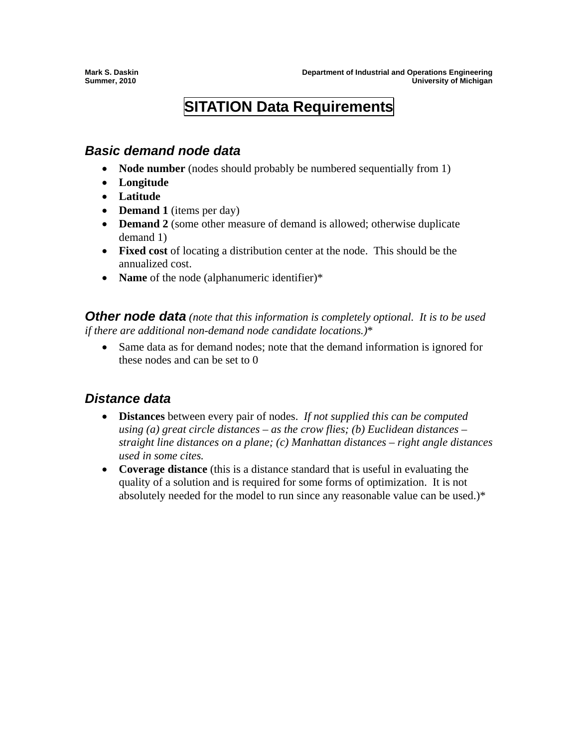## **SITATION Data Requirements**

## *Basic demand node data*

- **Node number** (nodes should probably be numbered sequentially from 1)
- **Longitude**
- **Latitude**
- **Demand 1** (items per day)
- **Demand 2** (some other measure of demand is allowed; otherwise duplicate demand 1)
- **Fixed cost** of locating a distribution center at the node. This should be the annualized cost.
- **Name** of the node (alphanumeric identifier)\*

*Other node data (note that this information is completely optional. It is to be used if there are additional non-demand node candidate locations.)*\*

• Same data as for demand nodes; note that the demand information is ignored for these nodes and can be set to 0

## *Distance data*

- **Distances** between every pair of nodes. *If not supplied this can be computed using (a) great circle distances – as the crow flies; (b) Euclidean distances – straight line distances on a plane; (c) Manhattan distances – right angle distances used in some cites.*
- **Coverage distance** (this is a distance standard that is useful in evaluating the quality of a solution and is required for some forms of optimization. It is not absolutely needed for the model to run since any reasonable value can be used.)\*